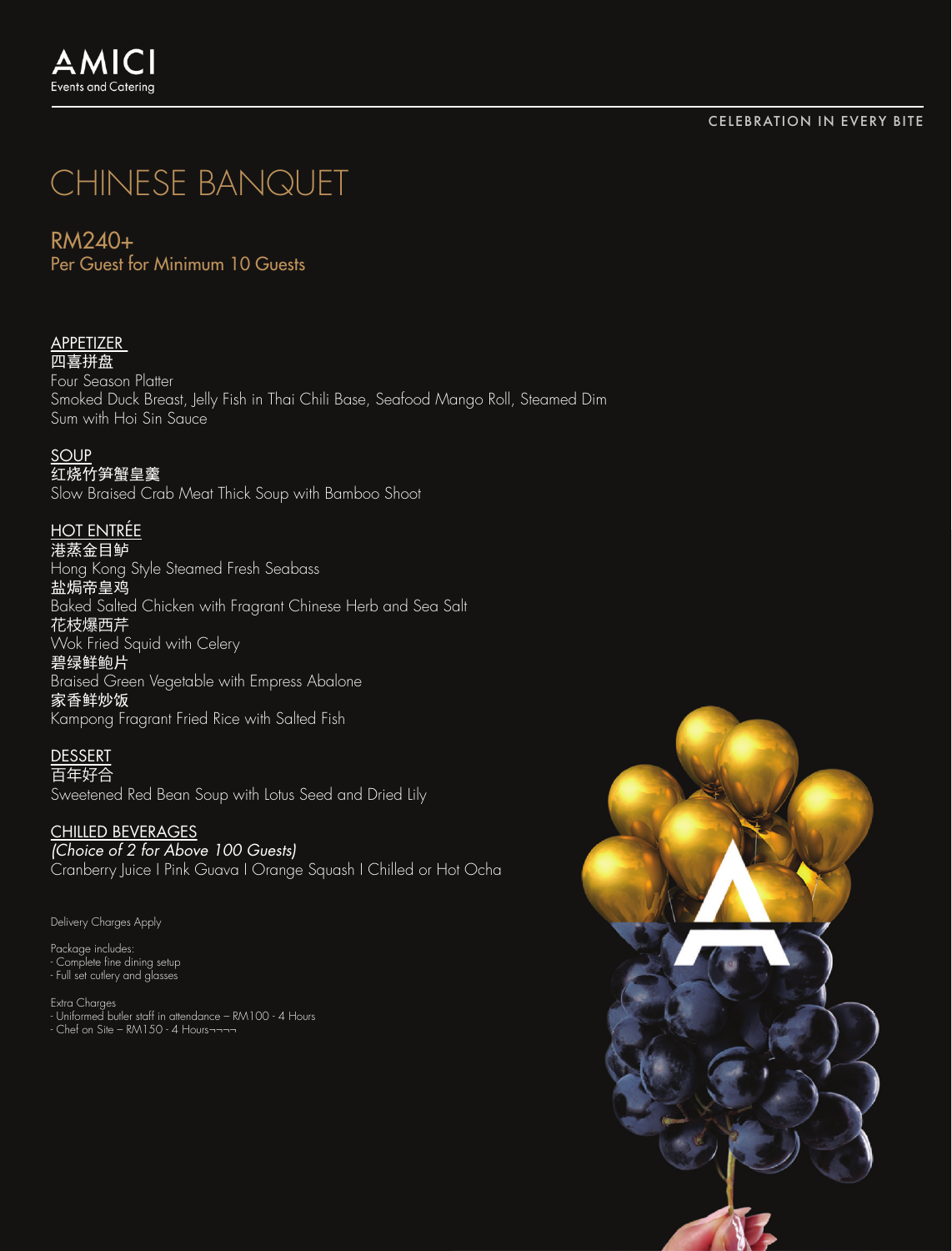#### CELEBRATION IN EVERY BITE

# CHINESE BANQUET

## RM240+

Per Guest for Minimum 10 Guests

#### **APPETIZER** 四喜拼盘

Four Season Platter Smoked Duck Breast, Jelly Fish in Thai Chili Base, Seafood Mango Roll, Steamed Dim Sum with Hoi Sin Sauce

### SOUP

红烧竹笋蟹皇羹

Slow Braised Crab Meat Thick Soup with Bamboo Shoot

## HOT ENTRÉE

港蒸金目鲈

Hong Kong Style Steamed Fresh Seabass

盐焗帝皇鸡

Baked Salted Chicken with Fragrant Chinese Herb and Sea Salt 花枝爆西芹

Wok Fried Squid with Celery

#### 碧绿鲜鲍片

Braised Green Vegetable with Empress Abalone 家香鲜炒饭 Kampong Fragrant Fried Rice with Salted Fish

## **DESSERT**

百年好合 Sweetened Red Bean Soup with Lotus Seed and Dried Lily

## CHILLED BEVERAGES

*(Choice of 2 for Above 100 Guests)*

Cranberry Juice I Pink Guava I Orange Squash I Chilled or Hot Ocha

Delivery Charges Apply

Package includes: - Complete fine dining setup - Full set cutlery and glasses

Extra Charges<br>- Uniformed butler staff in attendance – RM100 - 4 Hours<br>- Chef on Site – RM150 - 4 Hours¬¬¬¬

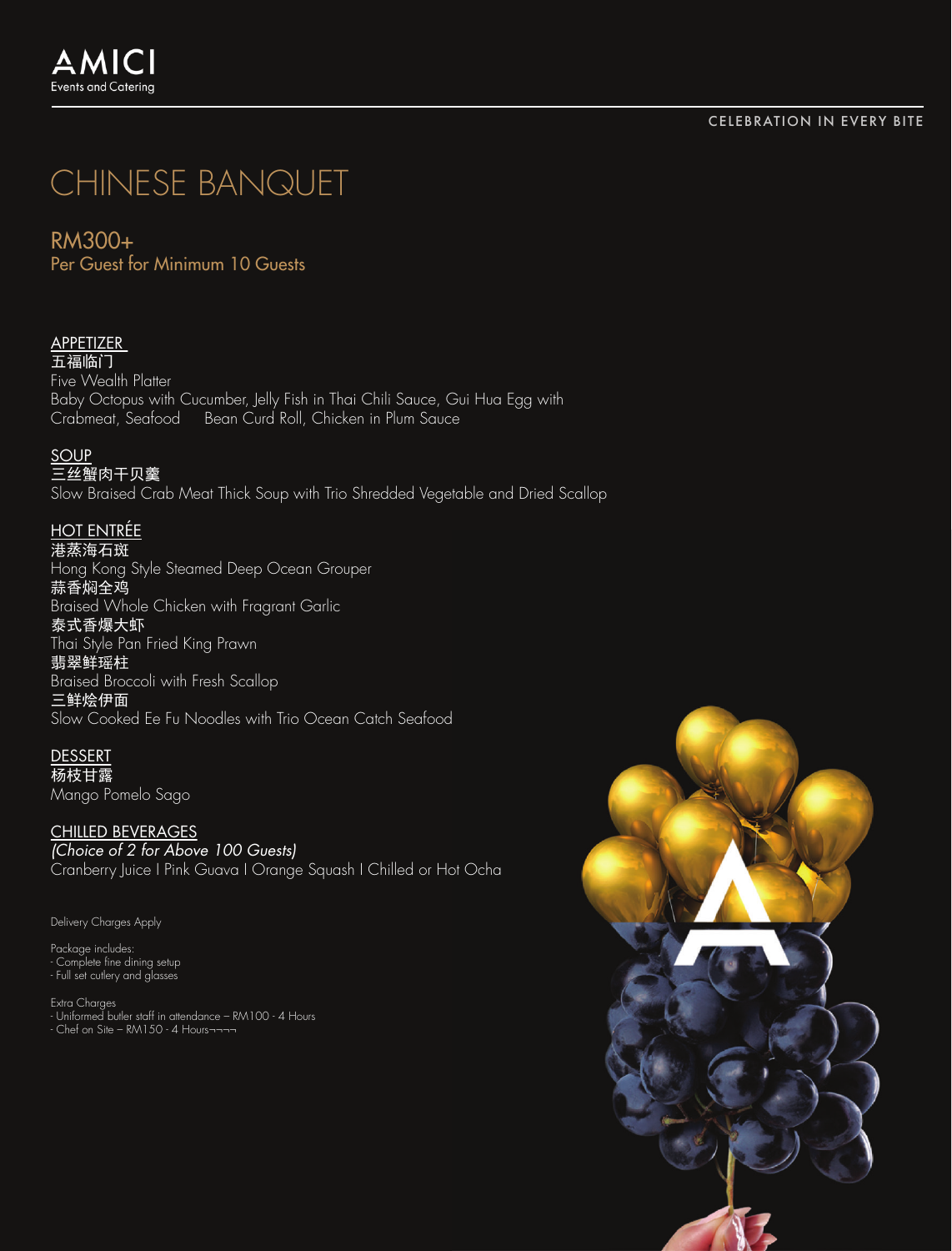#### CELEBRATION IN EVERY BITE

## CHINESE BANQUET

## RM300+

Per Guest for Minimum 10 Guests

## **APPETIZER**

五福临门 Five Wealth Platter Baby Octopus with Cucumber, Jelly Fish in Thai Chili Sauce, Gui Hua Egg with<br>Crabmeat. Seafood — Bean Curd Roll. Chicken in Plum Sauce Bean Curd Roll, Chicken in Plum Sauce

#### SOUP

三丝蟹肉干贝羹 Slow Braised Crab Meat Thick Soup with Trio Shredded Vegetable and Dried Scallop

### HOT ENTRÉE

港蒸海石斑 Hong Kong Style Steamed Deep Ocean Grouper 蒜香焖全鸡 Braised Whole Chicken with Fragrant Garlic 泰式香爆大虾 Thai Style Pan Fried King Prawn

## 翡翠鲜瑶柱

Braised Broccoli with Fresh Scallop 三鲜烩伊面 Slow Cooked Ee Fu Noodles with Trio Ocean Catch Seafood

## DESSERT

杨枝甘露 Mango Pomelo Sago

CHILLED BEVERAGES *(Choice of 2 for Above 100 Guests)* Cranberry Juice I Pink Guava I Orange Squash I Chilled or Hot Ocha

Delivery Charges Apply

Package includes: - Complete fine dining setup - Full set cutlery and glasses

Extra Charges<br>- Uniformed butler staff in attendance – RM100 - 4 Hours<br>- Chef on Site – RM150 - 4 Hours¬¬¬¬